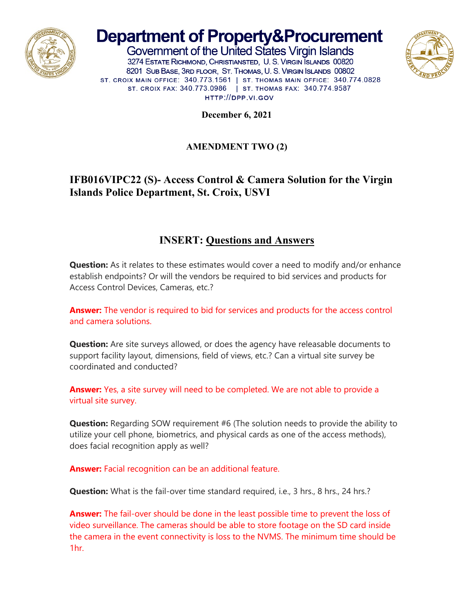

# **Department of Property&Procurement**

Government of the United States Virgin Islands 3274 ESTATE RICHMOND, CHRISTIANSTED, U.S. VIRGIN ISLANDS 00820 8201 SUB BASE, 3RD FLOOR, ST. THOMAS, U. S. VIRGIN ISLANDS 00802 ST. CROIX MAIN OFFICE: 340.773.1561 | ST. THOMAS MAIN OFFICE: 340.774.0828 ST. CROIX FAX: 340.773.0986 | ST. THOMAS FAX: 340.774.9587 HTTP://DPP.VI.GOV



**December 6, 2021**

#### **AMENDMENT TWO (2)**

## **IFB016VIPC22 (S)- Access Control & Camera Solution for the Virgin Islands Police Department, St. Croix, USVI**

### **INSERT: Questions and Answers**

**Question:** As it relates to these estimates would cover a need to modify and/or enhance establish endpoints? Or will the vendors be required to bid services and products for Access Control Devices, Cameras, etc.?

**Answer:** The vendor is required to bid for services and products for the access control and camera solutions.

**Question:** Are site surveys allowed, or does the agency have releasable documents to support facility layout, dimensions, field of views, etc.? Can a virtual site survey be coordinated and conducted?

**Answer:** Yes, a site survey will need to be completed. We are not able to provide a virtual site survey.

**Question:** Regarding SOW requirement #6 (The solution needs to provide the ability to utilize your cell phone, biometrics, and physical cards as one of the access methods), does facial recognition apply as well?

**Answer:** Facial recognition can be an additional feature.

**Question:** What is the fail-over time standard required, i.e., 3 hrs., 8 hrs., 24 hrs.?

**Answer:** The fail-over should be done in the least possible time to prevent the loss of video surveillance. The cameras should be able to store footage on the SD card inside the camera in the event connectivity is loss to the NVMS. The minimum time should be 1hr.